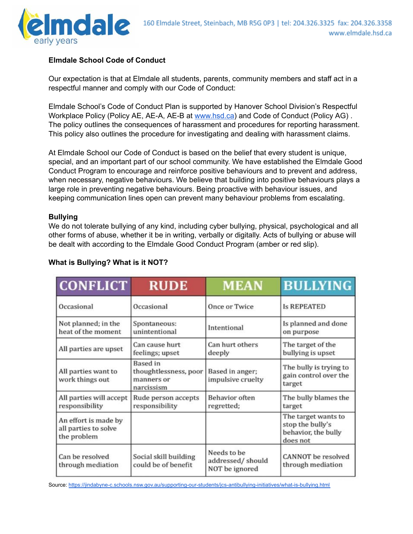

## **Elmdale School Code of Conduct**

Our expectation is that at Elmdale all students, parents, community members and staff act in a respectful manner and comply with our Code of Conduct:

Elmdale School's Code of Conduct Plan is supported by Hanover School Division's Respectful Workplace Policy (Policy AE, AE-A, AE-B at [www.hsd.ca](http://www.hsd.ca/)) and Code of Conduct (Policy AG) . The policy outlines the consequences of harassment and procedures for reporting harassment. This policy also outlines the procedure for investigating and dealing with harassment claims.

At Elmdale School our Code of Conduct is based on the belief that every student is unique, special, and an important part of our school community. We have established the Elmdale Good Conduct Program to encourage and reinforce positive behaviours and to prevent and address, when necessary, negative behaviours. We believe that building into positive behaviours plays a large role in preventing negative behaviours. Being proactive with behaviour issues, and keeping communication lines open can prevent many behaviour problems from escalating.

## **Bullying**

We do not tolerate bullying of any kind, including cyber bullying, physical, psychological and all other forms of abuse, whether it be in writing, verbally or digitally. Acts of bullying or abuse will be dealt with according to the Elmdale Good Conduct Program (amber or red slip).

| <b>CONFLICT</b>                                             | <b>RUDE</b>                                                          | <b>MEAN</b>                                       | <b>BULLYING</b>                                                            |
|-------------------------------------------------------------|----------------------------------------------------------------------|---------------------------------------------------|----------------------------------------------------------------------------|
| Occasional                                                  | Occasional                                                           | Once or Twice                                     | <b>Is REPEATED</b>                                                         |
| Not planned; in the<br>heat of the moment                   | Spontaneous:<br>unintentional                                        | Intentional                                       | Is planned and done<br>on purpose                                          |
| All parties are upset                                       | Can cause hurt<br>feelings; upset                                    | Can hurt others<br>deeply                         | The target of the<br>bullying is upset                                     |
| All parties want to<br>work things out                      | <b>Based</b> in<br>thoughtlessness, poor<br>manners or<br>narcissism | Based in anger;<br>impulsive cruelty              | The bully is trying to<br>gain control over the<br>target                  |
| All parties will accept<br>responsibility                   | Rude person accepts<br>responsibility                                | <b>Behavior</b> often<br>regretted;               | The bully blames the<br>target                                             |
| An effort is made by<br>all parties to solve<br>the problem |                                                                      |                                                   | The target wants to<br>stop the bully's<br>behavior, the bully<br>does not |
| Can be resolved<br>through mediation                        | Social skill building<br>could be of benefit                         | Needs to be<br>addressed/should<br>NOT be ignored | <b>CANNOT</b> be resolved<br>through mediation                             |

## **What is Bullying? What is it NOT?**

Source: <https://jindabyne-c.schools.nsw.gov.au/supporting-our-students/jcs-antibullying-initiatives/what-is-bullying.html>